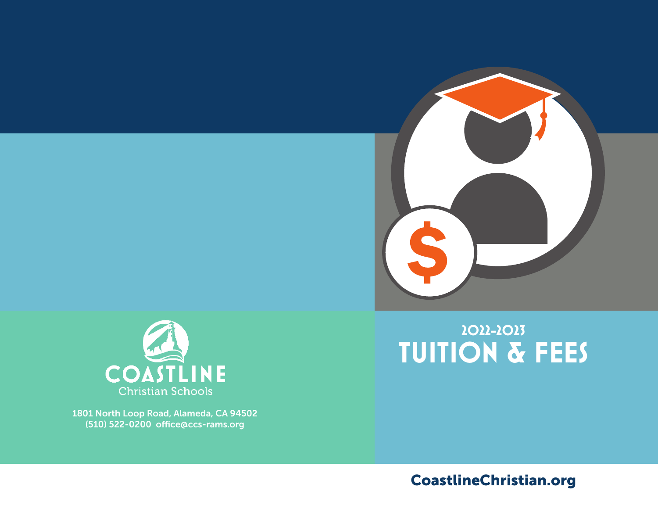



1801 North Loop Road, Alameda, CA 94502 (510) 522-0200 office@ccs-rams.org

# **2022-2023 TUITION & FEES**

CoastlineChristian.org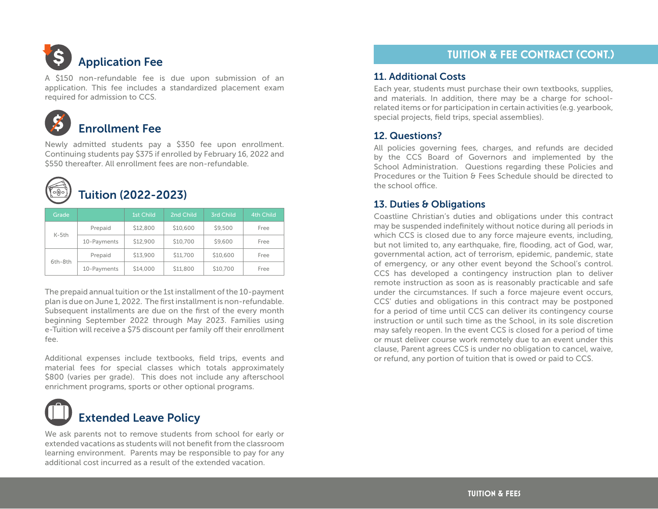# Application Fee

A \$150 non-refundable fee is due upon submission of an application. This fee includes a standardized placement exam required for admission to CCS.



## Enrollment Fee

Newly admitted students pay a \$350 fee upon enrollment. Continuing students pay \$375 if enrolled by February 16, 2022 and \$550 thereafter. All enrollment fees are non-refundable.



# Tuition (2022-2023)

| Grade   |             | <b>1st Child</b> | 2nd Child | <b>3rd Child</b> | <b>4th Child</b> |
|---------|-------------|------------------|-----------|------------------|------------------|
| $K-5th$ | Prepaid     | \$12,800         | \$10,600  | \$9,500          | Free             |
|         | 10-Payments | \$12,900         | \$10,700  | \$9,600          | Free             |
| 6th-8th | Prepaid     | \$13,900         | \$11,700  | \$10,600         | Free             |
|         | 10-Payments | \$14,000         | \$11,800  | \$10,700         | Free             |

The prepaid annual tuition or the 1st installment of the 10-payment plan is due on June 1, 2022. The first installment is non-refundable. Subsequent installments are due on the first of the every month beginning September 2022 through May 2023. Families using e-Tuition will receive a \$75 discount per family off their enrollment fee.

Additional expenses include textbooks, field trips, events and material fees for special classes which totals approximately \$800 (varies per grade). This does not include any afterschool enrichment programs, sports or other optional programs.



# Extended Leave Policy

We ask parents not to remove students from school for early or extended vacations as students will not benefit from the classroom learning environment. Parents may be responsible to pay for any additional cost incurred as a result of the extended vacation.

# **TUITION & FEE CONTRACT (CONT.)**

#### 11. Additional Costs

Each year, students must purchase their own textbooks, supplies, and materials. In addition, there may be a charge for schoolrelated items or for participation in certain activities (e.g. yearbook, special projects, field trips, special assemblies).

#### 12. Questions?

All policies governing fees, charges, and refunds are decided by the CCS Board of Governors and implemented by the School Administration. Questions regarding these Policies and Procedures or the Tuition & Fees Schedule should be directed to the school office.

#### 13. Duties & Obligations

Coastline Christian's duties and obligations under this contract may be suspended indefinitely without notice during all periods in which CCS is closed due to any force majeure events, including, but not limited to, any earthquake, fire, flooding, act of God, war, governmental action, act of terrorism, epidemic, pandemic, state of emergency, or any other event beyond the School's control. CCS has developed a contingency instruction plan to deliver remote instruction as soon as is reasonably practicable and safe under the circumstances. If such a force majeure event occurs, CCS' duties and obligations in this contract may be postponed for a period of time until CCS can deliver its contingency course instruction or until such time as the School, in its sole discretion may safely reopen. In the event CCS is closed for a period of time or must deliver course work remotely due to an event under this clause, Parent agrees CCS is under no obligation to cancel, waive, or refund, any portion of tuition that is owed or paid to CCS.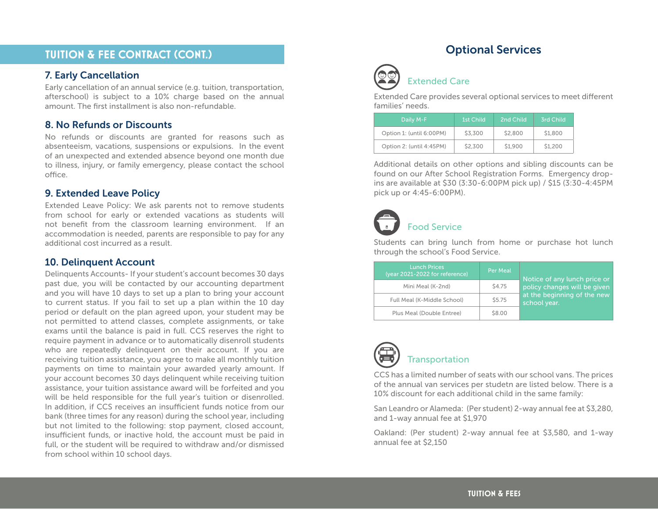### **TUITION & FEE CONTRACT (CONT.)**

#### 7. Early Cancellation

Early cancellation of an annual service (e.g. tuition, transportation, afterschool) is subject to a 10% charge based on the annual amount. The first installment is also non-refundable.

#### 8. No Refunds or Discounts

No refunds or discounts are granted for reasons such as absenteeism, vacations, suspensions or expulsions. In the event of an unexpected and extended absence beyond one month due to illness, injury, or family emergency, please contact the school office.

#### 9. Extended Leave Policy

Extended Leave Policy: We ask parents not to remove students from school for early or extended vacations as students will not benefit from the classroom learning environment. If an accommodation is needed, parents are responsible to pay for any additional cost incurred as a result.

#### 10. Delinquent Account

Delinquents Accounts- If your student's account becomes 30 days past due, you will be contacted by our accounting department and you will have 10 days to set up a plan to bring your account to current status. If you fail to set up a plan within the 10 day period or default on the plan agreed upon, your student may be not permitted to attend classes, complete assignments, or take exams until the balance is paid in full. CCS reserves the right to require payment in advance or to automatically disenroll students who are repeatedly delinquent on their account. If you are receiving tuition assistance, you agree to make all monthly tuition payments on time to maintain your awarded yearly amount. If your account becomes 30 days delinquent while receiving tuition assistance, your tuition assistance award will be forfeited and you will be held responsible for the full year's tuition or disenrolled. In addition, if CCS receives an insufficient funds notice from our bank (three times for any reason) during the school year, including but not limited to the following: stop payment, closed account, insufficient funds, or inactive hold, the account must be paid in full, or the student will be required to withdraw and/or dismissed from school within 10 school days.

## Optional Services



#### Extended Care

Extended Care provides several optional services to meet different families' needs.

| Daily M-F                | 1st Child | 2nd Child | 3rd Child |
|--------------------------|-----------|-----------|-----------|
| Option 1: (until 6:00PM) | \$3,300   | \$2,800   | \$1,800   |
| Option 2: (until 4:45PM) | \$2,300   | \$1,900   | \$1,200   |

Additional details on other options and sibling discounts can be found on our After School Registration Forms. Emergency dropins are available at \$30 (3:30-6:00PM pick up) / \$15 (3:30-4:45PM pick up or 4:45-6:00PM).

# Food Service

Students can bring lunch from home or purchase hot lunch through the school's Food Service.

| <b>Lunch Prices</b><br>(year 2021-2022 for reference) | <b>Per Meal</b>   | Notice of any lunch price or<br>policy changes will be given<br>at the beginning of the new<br>school year. |
|-------------------------------------------------------|-------------------|-------------------------------------------------------------------------------------------------------------|
| Mini Meal (K-2nd)                                     | S <sub>4.75</sub> |                                                                                                             |
| Full Meal (K-Middle School)                           | \$5.75            |                                                                                                             |
| Plus Meal (Double Entree)                             | \$8.00            |                                                                                                             |



CCS has a limited number of seats with our school vans. The prices of the annual van services per studetn are listed below. There is a 10% discount for each additional child in the same family:

San Leandro or Alameda: (Per student) 2-way annual fee at \$3,280, and 1-way annual fee at \$1,970

Oakland: (Per student) 2-way annual fee at \$3,580, and 1-way annual fee at \$2,150